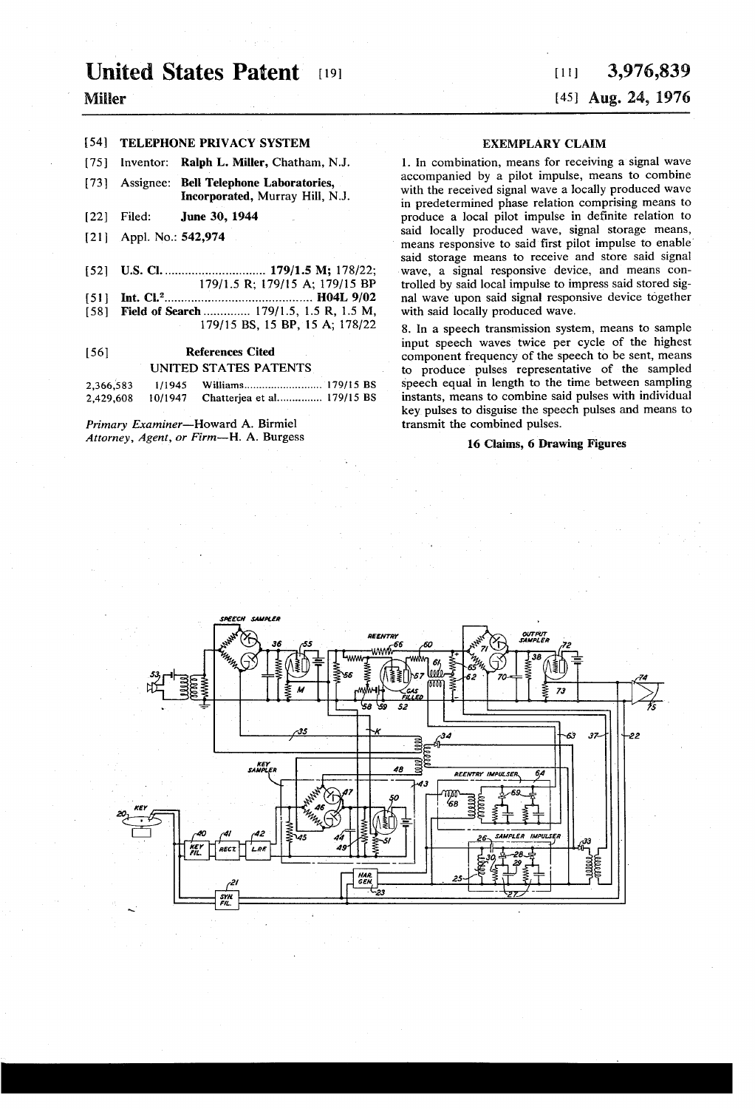# United States Patent [19]

## Miller

## [54] TELEPHONE PRIVACY SYSTEM

- [75] Inventor: **Ralph L. Miller, Chatham, N.J.**
- [73] Assignee: Bell Telephone Laboratories, Incorporated, Murray Hill, NJ.
- [22] Filed: June 30, 1944
- [2]] Appl. No.: 542,974
- [52] US. Cl. ............................ .. 179/l.5 M; 178/22;
- 179/1.5 R; 179/15 A; 179/15 BP
- [51 ] Int. Cl.2 .......................................... .. H04L 9/02 [58] Field of Search ............... 179/1.5, 1.5 R, 1.5 M,
- 179/15 BS, 15 BP, 15 A; 178/22

### [56] References Cited UNITED STATES PATENTS

| 2,366,583 | 1/1945  |                            |  |
|-----------|---------|----------------------------|--|
| 2,429,608 | 10/1947 | Chatterjea et al 179/15 BS |  |

Primary Examiner-Howard A. Birmiel Attorney, Agent, or Firm-H. A. Burgess

#### EXEMPLARY CLAIM

1. In combination, means for receiving a signal wave accompanied by a pilot impulse, means to combine with the received signal wave a locally produced wave in predetermined phase relation comprising means to produce a local pilot impulse in definite relation to said locally produced wave, signal storage means, means responsive to said first pilot impulse to enable said storage means to receive and store said signal wave, a signal responsive device, and means con trolled by said local impulse to impress said stored sig nal wave upon said signal responsive device together with said locally produced wave.

8. In a speech transmission system, means to sample input speech waves twice per cycle of the highest component frequency of the speech to be sent, means to produce pulses representative of the sampled speech equal in length to the time between sampling instants, means to combine said pulses with individual key pulses to disguise the speech pulses and means to transmit the combined pulses.

#### 16 Claims, 6 Drawing Figures



## [111 3,976,839 1451 Aug. 24, 1976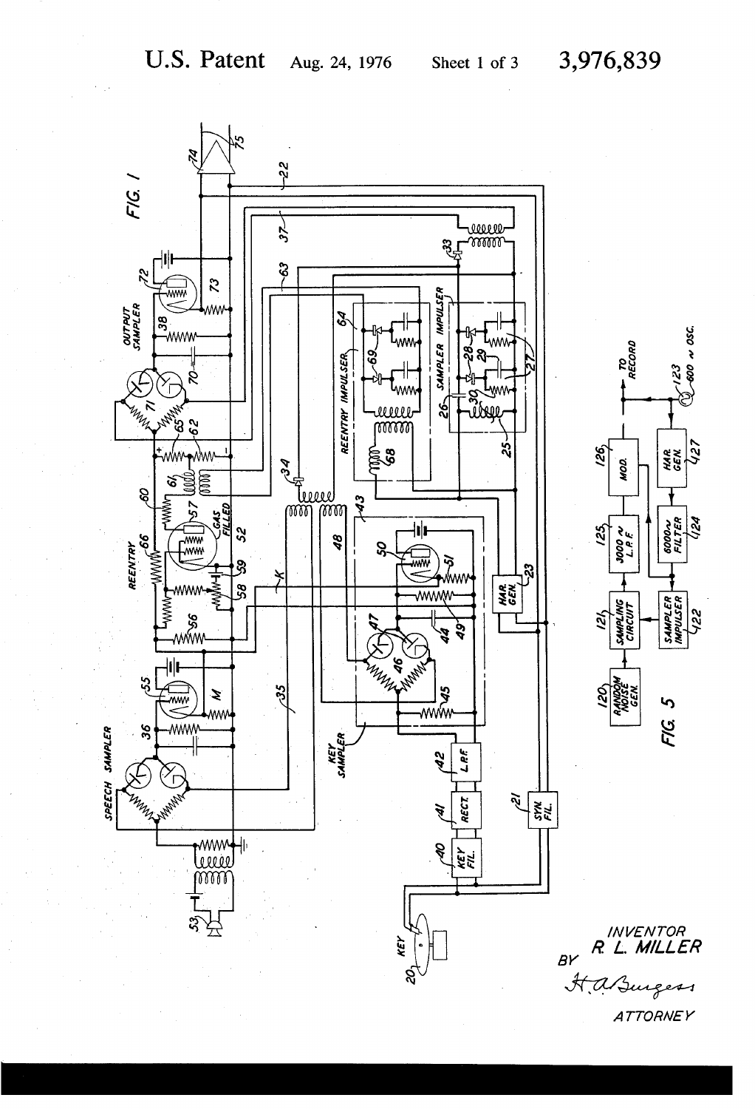



ATTORNEY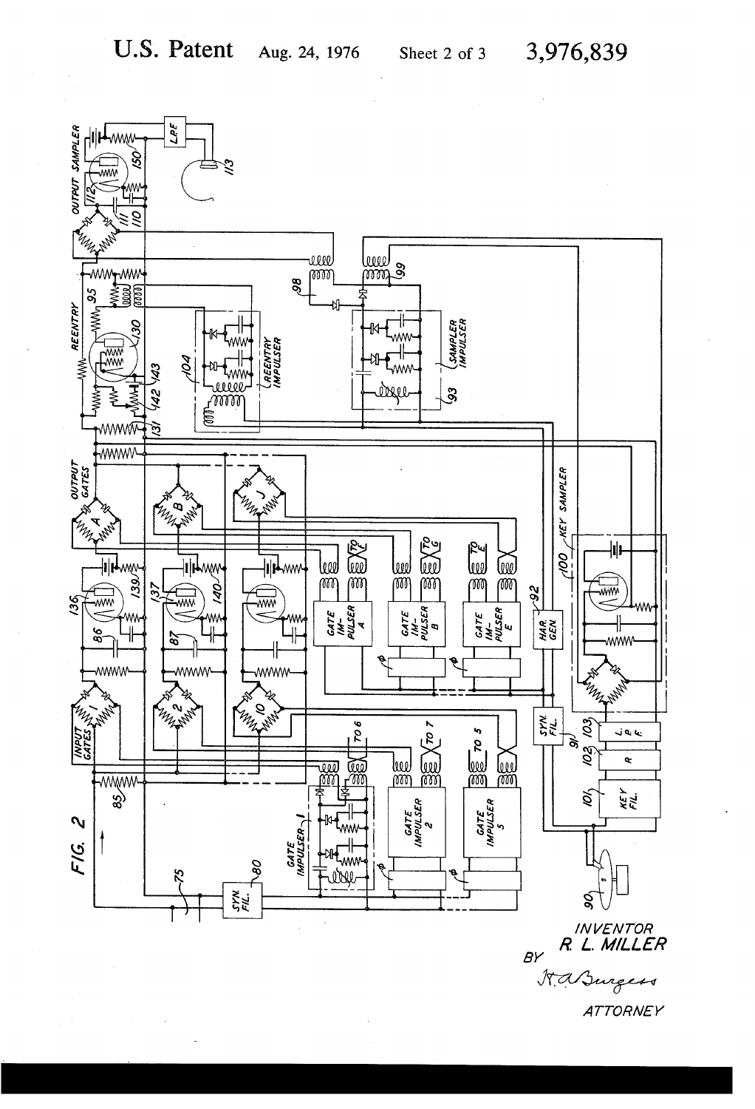

INVENTOR<br>R. L. MILLER  $BY$ Hasurgess

ATTORNEY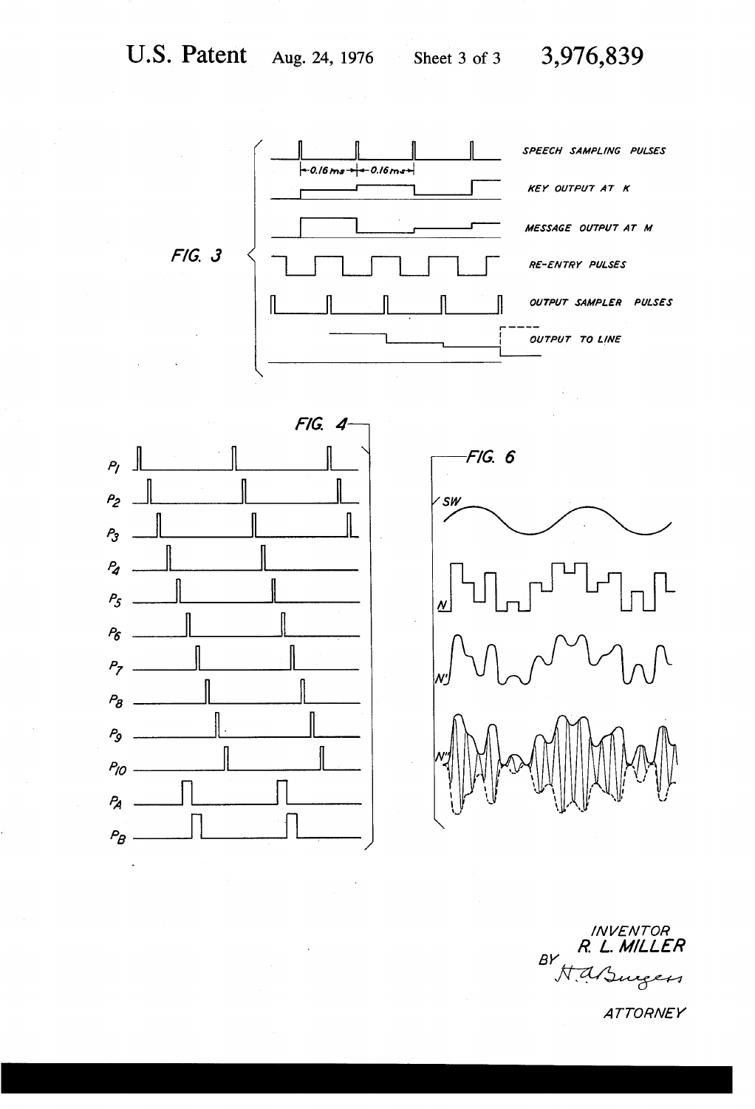







**INVENTOR** R. L. MILLER  $BY$ HaBurgen

**ATTORNEY**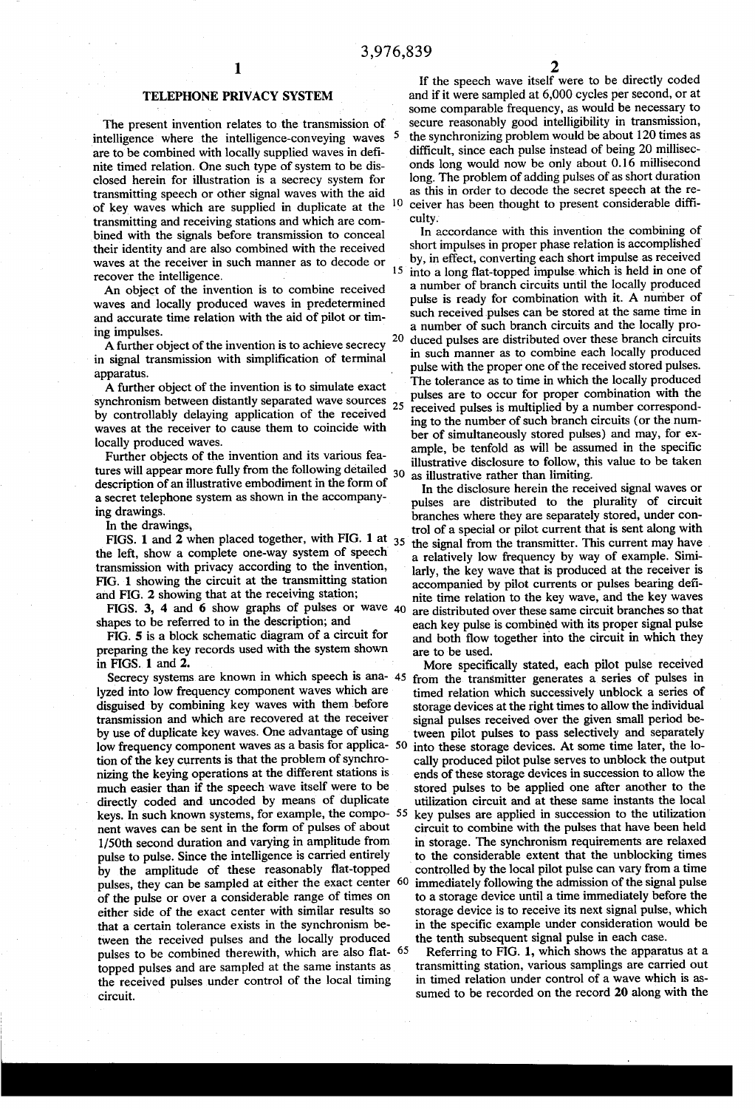#### TELEPHONE PRIVACY SYSTEM

The present invention relates to the transmission of relationships where the intelligence-conveying waves 5 intelligence where the intelligence-conveying waves are to be combined with locally supplied waves in definite timed relation. One such type of system to be dis closed herein for illustration is a secrecy system for transmitting speech or other signal waves with the aid of key waves which are supplied in duplicate at the <sup>10</sup> transmitting and receiving stations and which are com bined with the signals before transmission to conceal their identity and are also combined with the received waves at the receiver in such manner as to decode or  $\frac{15}{15}$ recover the intelligence. .

An object of the invention is to combine received waves and locally produced waves in predetermined and accurate time relation with the aid of pilot or tim ing impulses.

A further object of the invention is to achieve secrecy in signal transmission with simplification of terminal apparatus.

A further object of the invention is to simulate exact synchronism between distantly separated wave sources 25 by controllably delaying application of the received waves at the receiver to cause them to coincide with locally produced waves.

Further objects of the invention and its various fea tures will appear more fully from the following detailed  $_{30}$ description of an illustrative embodiment in the form of a secret telephone system as shown in the accompany ing drawings.

In the drawings,

FIGS. 1 and 2 when placed together, with FIG. 1 at  $_{35}$ the left, show a complete one-way system of speech transmission with privacy according to the invention, FIG. 1 showing the circuit at the transmitting station and FIG. 2 showing that at the receiving station;

FIGS. 3, 4 and 6 show graphs of pulses or wave 40 shapes to be referred to in the description; and

FIG. 5 is a block schematic diagram of a circuit for preparing the key records used with the system shown in FIGS. 1 and 2.

Secrecy systems are known in which speech is ana-45 lyzed into low frequency component waves which are disguised by combining key waves with them before transmission and which are recovered at the receiver by use of duplicate key waves. One advantage of using low frequency component waves as a basis for applica- 50 tion of the key currents is that the problem of synchro nizing the keying operations at the different stations is much easier than if the speech wave itself were to be directly coded and uncoded by means of duplicate keys. In such known systems, for example, the compo- 55 nent waves can be sent in the form of pulses of about l/50th second duration and varying in amplitude from pulse to pulse. Since the intelligence is carried entirely by the amplitude of these reasonably flat-topped pulses, they can be sampled at either the exact center 60 of the pulse or over a considerable range of times on either side of the exact center with similar results so that a certain tolerance exists in the synchronism be tween the received pulses and the locally produced pulses to be combined therewith, which are also flat- 65 topped pulses and are sampled at the same instants as the received pulses under control of the local timing circuit.

If the speech wave itself were to be directly coded and if it were sampled at 6,000 cycles per second, or at some comparable frequency, as would be necessary to secure reasonably good intelligibility in transmission, the synchronizing problem would be about 120 times as difficult, since each pulse instead of being 20 millisec onds long would now be only about 0.16 millisecond long. The problem of adding pulses of as short duration as this in order to decode the secret speech at the re ceiver has been thought to present considerable diffi culty;

20 In accordance with this invention the combining of short impulses in proper phase relation is accomplished' by, in effect, converting each short impulse as received into a long flat-topped impulse which is held in one of a number of branch circuits until the locally produced pulse is ready for combination with it. A number of such received pulses can be stored at the same time in a number of such branch circuits and the locally pro duced pulses are distributed over these branch circuits in such manner as to combine each locally produced pulse with the proper one of the received stored pulses. The tolerance as to time in which the locally produced pulses are to occur for proper combination with the received pulses is multiplied by a number correspond ing to the number of such branch circuits (or the num ber of simultaneously stored pulses) and may, for ex ample, be tenfold as will be assumed in the specific illustrative disclosure to follow, this value to be taken as illustrative rather than limiting.

In the disclosure herein the received signal waves or pulses are distributed to the plurality of circuit branches where they are separately stored, under con trol of a special or pilot current that is sent along with the signal from the transmitter. This current may have a relatively low frequency by way of example. Simi larly, the key wave that is produced at the receiver is accompanied by pilot currents or pulses bearing definite time relation to the key wave, and the key waves are distributed over these same circuit branches so that each key pulse is combined with its proper signal pulse and both flow together into the circuit in which they are to be used.

More specifically stated, each pilot pulse received from the transmitter generates a series of pulses in timed relation which successively unblock a series of storage devices at the right times to allow the individual signal pulses received over the given small period be tween pilot pulses to pass selectively and separately into these storage devices. At some time later, the lo cally produced pilot pulse serves to unblock the output ends of these storage devices in succession to allow the stored pulses to be applied one after another to the utilization circuit and at these same instants the local key pulses are applied in succession to the utilization circuit to combine with the pulses that have been held in storage. The synchronism requirements are relaxed to the considerable extent that the unblocking times controlled by the local pilot pulse can vary from a time immediately following the admission of the signal pulse to a storage device until a time immediately before the storage device is to receive its next signal pulse, which in the specific example under consideration would be the tenth subsequent signal pulse in each case.

Referring to FIG. 1, which shows the apparatus at a transmitting station, various samplings are carried out in timed relation under control of a wave which is as sumed to be recorded on the record 20 along with the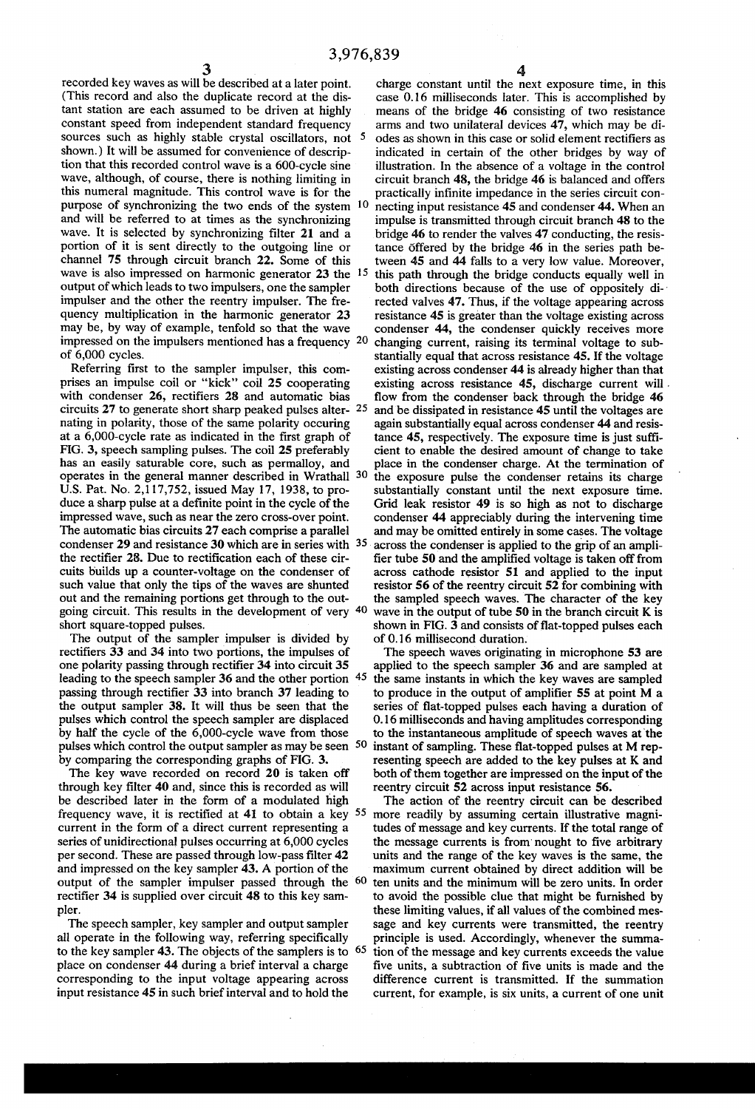recorded key waves as will be described at a later point. (This record and also the duplicate record at the dis tant station are each assumed to be driven at highly constant speed from independent standard frequency sources such as highly stable crystal oscillators, not 5 shown.) It will be assumed for convenience of descrip tion that this recorded control wave is a 600-cycle sine wave, although, of course, there is nothing limiting in this numeral magnitude. This control wave is for the purpose of synchronizing the two ends of the system 10 and will be referred to at times as the synchronizing wave. It is selected by synchronizing filter 21 and a portion of it is sent directly to the outgoing line or channel 75 through circuit branch 22. Some of this wave is also impressed on harmonic generator 23 the <sup>15</sup> output of which leads to two impulsers, one the sampler impulser and the other the reentry impulser. The fre quency multiplication in the harmonic generator 23 may be, by way of example, tenfold so that the wave impressed on the impulsers mentioned has a frequency 20 of 6,000 cycles.

Referring first to the sampler impulser, this comprises an impulse coil or "kick" coil 25 cooperating with condenser 26, rectifiers 28 and automatic bias circuits 27 to generate short sharp peaked pulses alter- $25$ nating in polarity, those of the same polarity occuring at a  $6,000$ -cycle rate as indicated in the first graph of FIG. 3, speech sampling pulses. The coil 25 preferably has an easily saturable core, such as permalloy, and operates in the general manner described in Wrathall 30 US. Pat. No. 2,117,752, issued May 17, 1938, to pro duce a sharp pulse at a definite point in the cycle of the impressed wave, such as near the zero cross-over point. The automatic bias circuits 27 each comprise a parallel condenser 29 and resistance 30 which are in series with 35 the rectifier 28. Due to rectification each of these circuits builds up a counter-voltage on the condenser of such value that only the tips of the waves are shunted out and the remaining portions get through to the out going circuit. This results in the development of very 40 short square-topped pulses.

The output of the sampler impulser is divided by rectifiers 33 and 34 into two portions, the impulses of one polarity passing through rectifier 34 into circuit 35 leading to the speech sampler 36 and the other portion 45 passing through rectifier 33 into branch 37 leading to the output sampler 38. It will thus be seen that the pulses which control the speech sampler are displaced by half the cycle of the 6,000-cycle wave from those pulses which control the output sampler as may be seen 50 by comparing the corresponding graphs of FIG. 3.

The key wave recorded on record  $20$  is taken off through key filter 40 and, since this is recorded as will be described later in the form of a modulated high frequency wave, it is rectified at 41 to obtain a key <sup>55</sup> more readily by assuming certain illustrative magnicurrent in the form of a direct current representing a series of unidirectional pulses occurring at 6,000 cycles per second. These are passed through low-pass filter 42 and impressed on the key sampler 43. A portion of the output of the sampler impulser passed through the 60 rectifier 34 is supplied over circuit 48 to this key sampler.

The speech sampler, key sampler and output sampler all operate in the following way, referring specifically to the key sampler 43. The objects of the samplers is to 65 place on condenser 44 during a brief interval a charge corresponding to the input voltage appearing across input resistance 45 in such brief interval and to hold the

charge constant until the next exposure time, in this case 0.16 milliseconds later. This is accomplished by means of the bridge 46 consisting of two resistance arms and two unilateral devices 47, which may be di odes as shown in this case or solid element rectifiers as indicated in certain of the other bridges by way of illustration. In the absence of a voltage in the control circuit branch 48, the bridge 46 is balanced and offers practically infinite impedance in the series circuit connecting input resistance 45 and condenser 44. When an impulse is transmitted through circuit branch 48 to the bridge 46 to render the valves 47 conducting, the resis tance offered by the bridge 46 in the series path between 45 and 44 falls to a very low value. Moreover, this path through the bridge conducts equally well in both directions because of the use of oppositely di-' rected valves 47. Thus, if the voltage appearing across resistance 45 is greater than the voltage existing across condenser 44, the condenser quickly receives more changing current, raising its terminal voltage to sub stantially equal that across resistance 45. If the voltage existing across condenser 44 is already higher than that existing across resistance 45, discharge current will. flow from the condenser back through the bridge 46 and be dissipated in resistance 45 until the voltages are again substantially equal across condenser 44 and resis tance 45, respectively. The exposure time is just sufficient to enable the desired amount of change to take place in the condenser charge. At the termination of the exposure pulse the condenser retains its charge substantially constant until the next exposure time. Grid leak resistor 49 is so high as not to discharge condenser 44 appreciably during the intervening time and may be omitted entirely in some cases. The voltage across the condenser is applied to the grip of an ampli fier tube 50 and the amplified voltage is taken off from across cathode resistor 51 and applied to the input resistor 56 of the reentry circuit 52 for combining with the sampled speech waves. The character of the key wave in the output of tube 50 in the branch circuit K is shown in FIG. 3 and consists of flat-topped pulses each of 0.16 millisecond duration.

The speech waves originating in microphone 53 are applied to the speech sampler 36 and are sampled at the same instants in which the key waves are sampled to produce in the output of amplifier  $55$  at point M a series of flat-topped pulses each having a duration of 0.16 milliseconds and having amplitudes corresponding to the instantaneous amplitude of speech waves at'the instant of sampling. These flat-topped pulses at M representing speech are added to the key pulses at K and both of them together are impressed on the input of the reentry circuit 52 across input resistance 56.

The action of the reentry circuit can be described tudes of message and key currents. If the total range of the message currents is from nought to five arbitrary units and the range of the key waves is the same, the maximum current obtained by direct addition will be ten units and the minimum will be zero units. In order to avoid the possible clue that might be furnished by these limiting values, if all values of the combined mes sage and key currents were transmitted, the reentry principle is used. Accordingly, whenever the summa tion of the message and key currents exceeds the value five units, a subtraction of five units is made and the difference current is transmitted. If the summation current, for example, is six units, a current of one unit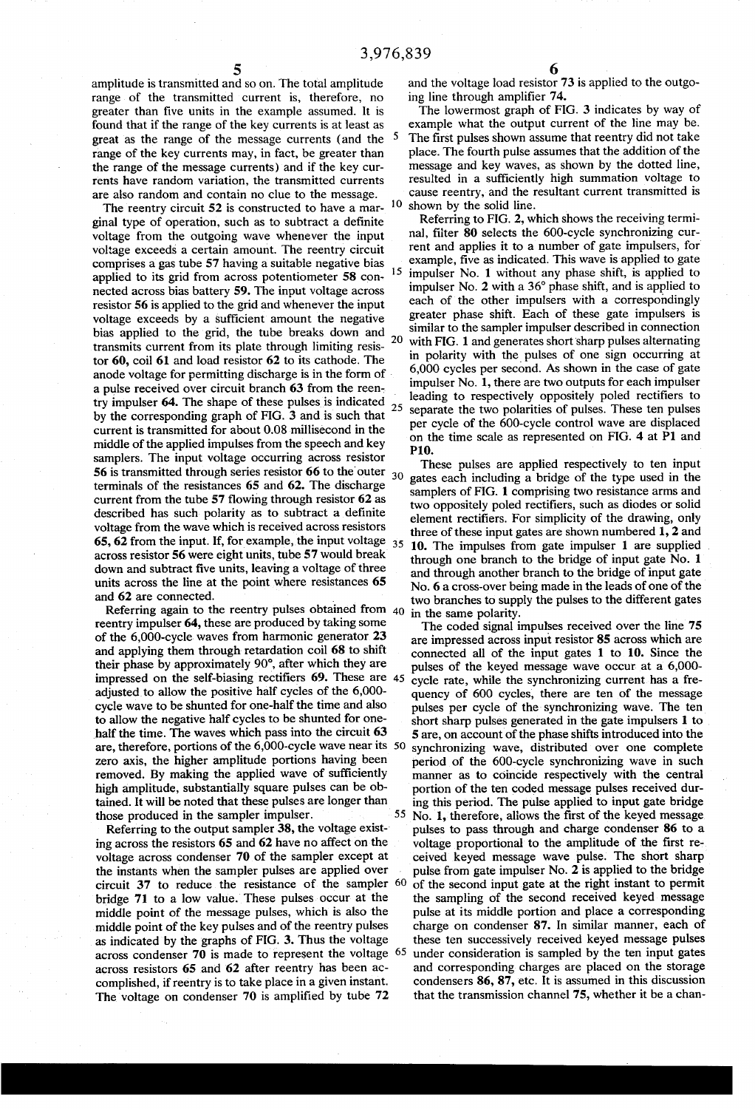amplitude is transmitted and so on. The total amplitude range of the transmitted current is, therefore, no greater than five units in the example assumed. It is found that if the range of the key currents is at least as great as the range of the message currents (and the 5 range of the key currents may, in fact, be greater than the range of the message currents) and if the key currents have random variation, the transmitted currents are also random and contain no clue to the message.

10 The reentry circuit 52 is constructed to have a marginal type of operation, such as to subtract a definite voltage from the outgoing wave whenever the input voltage exceeds a certain amount. The reentry circuit comprises a gas tube 57 having a suitable negative bias applied to its grid from across potentiometer 58 connected across bias battery 59. The input voltage across resistor 56 is applied to the grid and whenever the input voltage exceeds by a sufficient amount the negative bias applied to the grid, the tube breaks down and transmits current from its plate through limiting resistor 60, coil 61 and load resistor 62 to its cathode. The anode voltage for permitting discharge is in the form of a pulse received over circuit branch 63 from the reentry impulser 64. The shape of these pulses is indicated  $_{25}$ by the corresponding graph of FIG. 3 and is such that current is transmitted for about 0.08 millisecond in the middle of the applied impulses from the speech and key samplers. The input voltage occurring across resistor 56 is transmitted through series resistor 66 to the outer  $_{30}$ terminals of the resistances 65 and 62. The discharge current from the tube 57 flowing through resistor 62 as described has such polarity as to subtract a definite voltage from the wave which is received across resistors 65, 62 from the input. If, for example, the input voltage  $35$ across resistor 56 were eight units, tube 57 would break down and subtract five units, leaving a voltage of three units across the line at the point where resistances 65 and 62 are connected.

Referring again to the reentry pulses obtained from  $40$ reentry impulser 64, these are produced by taking some of the 6,000-cycle waves from harmonic generator 23 and applying them through retardation coil 68 to shift their phase by approximately 90°, after which they are impressed on the self-biasing rectifiers 69. These are 45 adjusted to allow the positive half cycles of the 6,000cycle wave to be shunted for one-half the time and also to allow the negative half cycles to be shunted for onehalf the time. The waves which pass into the circuit 63 are, therefore, portions of the 6,000-cycle wave near its 50 zero axis, the higher amplitude portions having been removed. By making the applied wave of sufficiently high amplitude, substantially square pulses can be obtained. It will be noted that these pulses are longer than those produced in the sampler impulser.

Referring to the output sampler 38, the voltage existing across the resistors 65 and 62 have no affect on the voltage across condenser 70 of the sampler except at the instants when the sampler pulses are applied over circuit 37 to reduce the resistance of the sampler 60 bridge 71 to a low value. These pulses occur at the middle point of the message pulses, which is also the middle point of the key pulses and of the reentry pulses as indicated by the graphs of FIG. 3. Thus the voltage across condenser 70 is made to represent the voltage 65 across resistors 65 and 62 after reentry has been accomplished, if reentry is to take place in a given instant. The voltage on condenser 70 is amplified by tube 72

and the voltage load resistor 73 is applied to the outgoing line through amplifier 74.

The lowermost graph of FIG. 3 indicates by way of example what the output current of the line may be. The first pulses shown assume that reentry did not take place. The fourth pulse assumes that the addition of the message and key waves, as shown by the dotted line, resulted in a sufficiently high summation voltage to cause reentry, and the resultant current transmitted is shown by the solid line.

Referring to FIG. 2, which shows the receiving terminal, filter 80 selects the 600-cycle synchronizing current and applies it to a number of gate impulsers, for example, five as indicated. This wave is applied to gate 15 impulser No. 1 without any phase shift, is applied to impulser No. 2 with a 36° phase shift, and is applied to each of the other impulsers with a correspondingly greater phase shift. Each of these gate impulsers is similar to the sampler impulser described in connection 20 with FIG. 1 and generates short sharp pulses alternating in polarity with the pulses of one sign occurring at 6,000 cycles per second. As shown in the case of gate impulser No. 1, there are two outputs for each impulser leading to respectively oppositely poled rectifiers to separate the two polarities of pulses. These ten pulses per cycle of the 600-cycle control wave are displaced on the time scale as represented on FIG. 4 at P1 and P10.

These pulses are applied respectively to ten input gates each including a bridge of the type used in the samplers of FIG. 1 comprising two resistance arms and two oppositely poled rectifiers, such as diodes or solid element rectifiers. For simplicity of the drawing, only three of these input gates are shown numbered 1, 2 and 10. The impulses from gate impulser 1 are supplied through one branch to the bridge of input gate No. 1 and through another branch to the bridge of input gate No. 6 a cross-over being made in the leads of one of the two branches to supply the pulses to the different gates in the same polarity.

The coded signal impulses received over the line 75 are impressed across input resistor 85 across which are connected all of the input gates 1 to 10. Since the pulses of the keyed message wave occur at a 6,000cycle rate, while the synchronizing current has a frequency of 600 cycles, there are ten of the message pulses per cycle of the synchronizing wave. The ten short sharp pulses generated in the gate impulsers 1 to 5 are, on account of the phase shifts introduced into the synchronizing wave, distributed over one complete period of the 600-cycle synchronizing wave in such manner as to coincide respectively with the central portion of the ten coded message pulses received during this period. The pulse applied to input gate bridge 55 No. 1, therefore, allows the first of the keyed message pulses to pass through and charge condenser 86 to a voltage proportional to the amplitude of the first received keyed message wave pulse. The short sharp pulse from gate impulser No. 2 is applied to the bridge of the second input gate at the right instant to permit the sampling of the second received keyed message pulse at its middle portion and place a corresponding charge on condenser 87. In similar manner, each of these ten successively received keyed message pulses under consideration is sampled by the ten input gates and corresponding charges are placed on the storage condensers 86, 87, etc. It is assumed in this discussion that the transmission channel 75, whether it be a chan-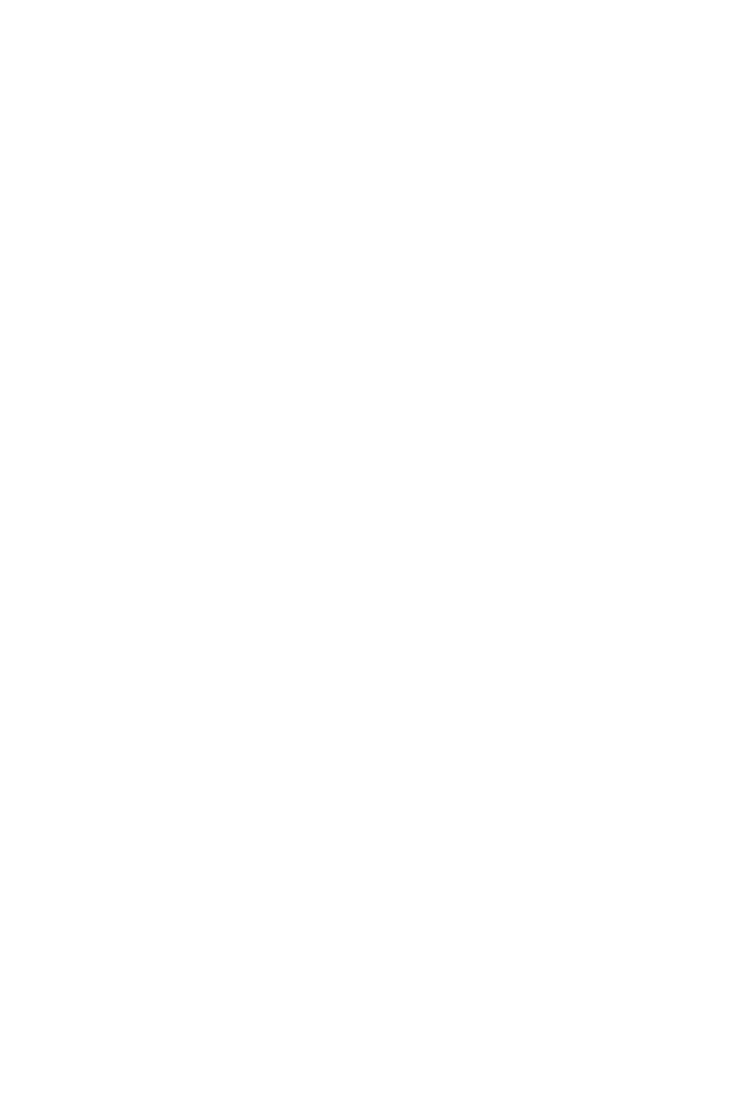nel on a transmission line or other guide or radio channel is such as to permit the keyed message waves and the 600-cycle synchronizing wave to maintain the same phase relations with which they started out from the transmitter so that they arrive in fixed phase relation at 5 the receiver. As long as this is the case or approximately so, the sampling of the received keyed message waves can take place as described.

Each of the ten input gates is associated with a corresponding output gate including bridges A to J which are 10 caused to sample the voltage stored on the condensers 86, 87, etc. under control of the 600-cycle wave recorded on record 90, which is assumed to be in all respects a duplicate of record 20. The synchronizing wave from record 90 is selected by filter 91 and applied 15 to five gate impulsers A to E, inclusive, which are duplicates of gate impulsers No. 1 to No. 5, inclusive. Also, phase shifters are used for impulsers B to E, which are identical with those used in the case of impulsers No. 2 to No. 5. As a result, ten pulses are produced occurring 20 at a 6,000-cycle rate in each period of the 600-cycle control wave from record 90 and the bridges A, B to J are rendered conducting in successive instants of time corresponding to these pulses. A larger amplitude of 600-cycle wave is impressed on the gate impulsers A, B 25 to E than is impressed on the gate impulsers No. 1 to No. 5 and the automatic biasing shunts are adjusted to give a broader impulse to the output gate bridges A, B to J as is indicated in the graphs of FIG. 4 where these 30 impulses are designated PA, PB, etc.

The use of the input gates and output gates for the storing of condensers between them facilitates the synchronizing problem. It is assumed that the record 90 is driven from a constant frequency oscillator, (not shown), such as a crystal controlled oscillator of great 35 constancy of frequency, the output of which may be suitably amplified and used to drive a synchronous turntable motor. It is assumed that the apparatus at different stations is similarly governed from a constant frequency source at each station. It is further assumed 40 that in the station of FIG. 2 the frequency and phase of the source driving the record 90 has been adjusted so that the pulses applied to the output gate A, for example, normally occur mid-way between the pulses applied to the input gate No. 1 and the same relation 45 holds in each of the other nine channels. The only requirement as to synchronism is that the gate A be opened in time to pass on to the reentry circuit 95 the particular voltage existing across condenser 86. This can happen if the gate A is opened at any time after the 50 charging of condenser 86 by an incoming signal pulse and before the condenser 86 is recharged to a different value by the next signal pulse which passes through input gate No. 1, which in the present instance would be the tenth succeeding line impulse. The requirement 55 as to synchronism between the two records is, therefore, reduced tenfold in the specific example given as compared with the requirement that would exist if there were no storage of the incoming pulses at the receiver. 60

As the output gates A to J are opened in succession the stored pulses from the condensers 86, 87, etc. are allowed to pass in succession to the input of the reentry circuit 95 where they are combined with key pulses received from the key sampler 100. The key on the <sup>65</sup> record 90 is taken off through key filter 101, rectified at 102 to obtain a direct current wave of varying amplitude and passed through low-pass filter 103 to the key

sampler 100 which receives sampler impulses from sampler impulser 93 operated from harmonic generator 92 under control of the 600-cycle wave on record 90. This key sampler 100 operates in the same manner as the key sampler 43 at the transmitting station and applies the key pulses to the reentry circuit 95 along with the pulses which pass through the output gates A to J. Since the 600-cycle synchronizing wave is recorded on record 90 together with the key wave, these two waves are in fixed phase relation with respect to each other which insures that the key pulses are applied to the reentry 95 at the same instants of time as the pulses which pass through the output gates. Sampler impluser 93 has a divided output 98, 99 for supplying opposite polarity pulses to key sampler 100 as described and to output sampler 110.

The reentry receives its impulses from reentry impulser 104 which is a duplicate of reentry impulser 64 at the transmitter station. The purpose of this reentry is to perform the reverse of the reentry step introduced at the transmitter. If the message impressed on the transmitting reentry circuit is M and the key is K, then, S, the line signal can be represented at the times when reentry has taken place as  $S = M + K - 5$ . The message can be recovered by any one of a number of types of reentry but one of the simplest ways is to recover the message as a negative current pulse where it originated as a positive pulse, so that the relation  $-M = K - S$  -5 can be used. For speech it makes no differenece that the sign of M has become reversed. If for some type of signal this inversion does become significant, a reinversion can readily be made as by using known type of vacuum tube amplifier to shift the phase by 180°. In the last equation, the message is recovered by using the same type of reentry circuit as that used at the transmitter but adjusting it to substract five units whenever  $K >$ S. This can be done by applying K to the reentry in its normal polarity but reversing the polarity of S, and adjusting the bias on tube 130 so that the tube fires whenever a positive voltage is impressed across resistor 131, that is, whenever the upper terminal of resistor 131 is positive. The reversal of S is accomplished by coupling to the plate instead of the cathode of each of the tubes 136, 137, etc. in the distributor storage circuits, as by coupling to resistors 139, 140, etc. in the anode branches instead of to resistors (such as resistor 73 of FIG. 1) in the cathode branches. The bias battery 143 and potentiometer setting of 142 for tube 130 are made such that the tube is biased toward firing and fires when the grid is driven further in the positive direction by the incoming signal and key pulses.

The output key sampler 110 operates in the same manner as does sampler 38 at the transmitting station to produce across condenser 111 pulses of the form shown at M in FIG. 3 consisting of flat-topped pulses varying in amplitude from pulse to pulse at a 6-kilocycle rate representing understandable speech, except that with the type of reentry described these pulses are recovered inverted in sign. These pulses are sent through the amplifier tube 112 and impressed upon the receiver 113. By coupling to the anode resistor 150 instead of to a cathode resistor (similar to 73 of FIG. 1) these pulses are reinverted before applying them to receiver 113.

It will be apparent that amplifiers may advantageously be used at various points throughout the system and no attempt has been made to show such points to avoid needless complication of the drawing since it will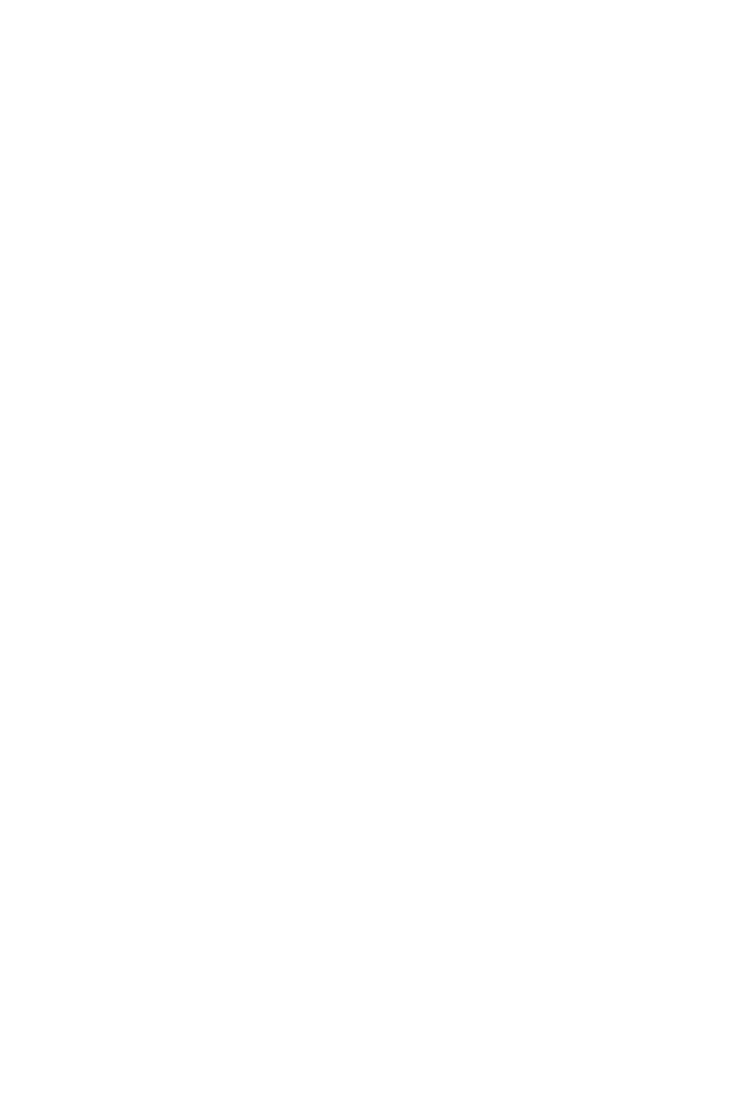be obvious to insert amplifiers wherever they may be needed.

As noted above, the records 90 and 20 are exact duplicates of each other and are either cut simultaneously from the same recording circuit or are pressed 5 from a common master record. One circuit for building up the key wave and insuring proper relationship between the key wave and the 600-cycle synchronizing wave is illustrated in block schematic form in FIG. 5. The key is obtained by sampling the random noise currents produced in a random noise generator 120, such as is obtained from amplified resistance noise, gas tube noise, etc., the output of which is a continuous spectrum type. The sampling circuit 121 for this noise may be of the same type as the key sampler 43, for <sup>15</sup> example, and the sampler impulser 122 may be the same as the sampler impulsers of FIG. 1. In this case a 600-cycle oscillator 123 is applied to generator 124 and the tenth harmonic, 6,000 cycles, is passed through filter 124 to the input of the sampler impulser 122 to  $20$ cause the latter to apply sampling pulses at a 6,000cycle rate to the sampling circuit 121. The noise wave is sampled 6,000 times a second, resulting in a wave of the type shown at N in FIG. 6 consisting of flat-topped pulses each of a 0.16 millisecond duration. This wave is 25 definitely tied to the 600-cycle wave S. W. of FIG. 6 since the sampling pulses are derived from the 600cycle source 123. The wave then is passed through low-pass filter 125 havin a cut-off frequency of 3,000 cycles and is impressed on modulator 126. The filter 30 125 rounds off the pulses to the form shown by curve N' of FIG. 6. The modulator 126 is supplied with a 6,000 carrier wave from filter 124 and the output modulated wave is applied to the record cutter together with some of the 600-cycle wave of oscillator 123. The 35 appearance of the key wave as actually recorded is, therefore, a modulated wave whose envelope varies in accordance with N', this type of wave being indicated as N'' in FIG. 6.

The invention is not to be construed as limited to the  $40$ specific circuits disclosed nor to the numerical values or magnitudes given by way of illustrative example, but the scope is defined in the claims which follow.

What is claimed is:

1. In combination, means for receiving a signal wave 45 accompanied by a pilot impulse, means to combine with the received signal wave a locally produced wave in predetermined phase relation comprising means to produce a local pilot impulse in definite relation to said locally produced wave, signal storage means, means 50 responsive to said first pilot impulse to enable said storage means to receive and store said signal wave, a signal responsive device, and means controlled by said local impulse to impress said stored signal wave upon said signal responsive device together with said locally 55 produced wave.

2.In combination, a source of electrial waves, a source of local waves to be combined with said electrical waves in definite phase relation, a load circuit for the combined waves, a plurality of electrical storage 60 circuits, means for dividing the electrical waves into short fragments and means to distribute said fragments one at a time to respective individual storage circuits, means to recover said fragments from said storage circuits individually and in proper phase to combine 65 with said local waves, and means to impress said recovered and local waves in said definite phase relation on said load circuit.

3. In combination, a source of electrical pulses of varying amplitude, a local source of pulses of varying amplitude to be combined with said electrical pulses individually, a load circuit for the combined pulses, a plurality of electrical storage circuits, means to distribute said electrical pulses one at a time to respective individual storage circuits, means to recover the stored pulses from said storage circuits individually in proper timed relation to combine with the respective local pulses, and means to impress said recovered and local pulses together on said load circuit.

4. In combination, a receiving circuit for pulses of varying amplitude representing a coded signal, a local source of key pulses to be combined with said coded pulses to decode the signal, a plurality of electrical storage circuits, means to distribute the received pulses individually to respective storage circuits, means to recover the stored pulses individually in proper timed relation to coincide with the key pulses with which they are to be combined, and means to combine each recovered pulse with its proper key pulse.

5. In a receiving circuit for pulses of varying amplitude representing a coded signal, means to receive a timing wave, a plurality of pulse storage elements, distributor means controlled by said timing wave for distributing each successively received pulse to a different one of said storage elements, a local source of key pulses to be combined individually with the received pulses to decode the signal, a local source of timing pulses, and distributor means controlled by said timing pulses for recovering the stored pulses from said storage elements one at a time in proper timed relation to coincide in time each with the local key pulse with which it is to be combined.

6. In a system of distribution of pulses of varying characteristic and timing waves, a source of other pulses and timing waves local to a station, a succession of pulse storage elements at said station, means under control of said first-mentioned timing waves for directing each of said first-mentioned pulses into a different one of said storage elements, means under control of said local timing waves to recover the stored pulses from said respective elements individually and in given order, and means for combining each recovered pulse with the other mentioned pulses in respective time coincidence.

7. In a receiving circuit, a signal storing distributor having a plurality of input gates and a corresponding plurality of output gates with a corresponding plurality of signal storage elements, a common output circuit, means for receiving signal currents and control currents, means under control of the control currents to open said input gates in timed sequence and to close each input gate before the next one is opened, each input gate when open allowing the signal to pass to the corresponding storage element, means producing key currents and local control currents, means under control of said local control currents to open said output gates in time sequence and to close each output gate before the next one is opened, each output gate when open allowing the signal stored on the corresponding storage element to pass into said common output circuit, and means to impress said key currents upon said common output circuit in synchronism with the opening of the respective output gates.

8. In a speech transmission system, means to sample input speech waves twice per cycle of the highest component frequency of the speech to be sent, means to